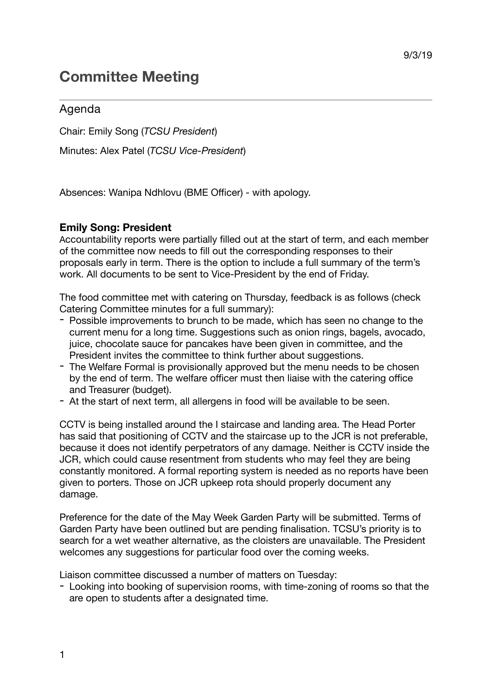# **Committee Meeting**

## Agenda

Chair: Emily Song (*TCSU President*)

Minutes: Alex Patel (*TCSU Vice-President*)

Absences: Wanipa Ndhlovu (BME Officer) - with apology.

## **Emily Song: President**

Accountability reports were partially filled out at the start of term, and each member of the committee now needs to fill out the corresponding responses to their proposals early in term. There is the option to include a full summary of the term's work. All documents to be sent to Vice-President by the end of Friday.

The food committee met with catering on Thursday, feedback is as follows (check Catering Committee minutes for a full summary):

- Possible improvements to brunch to be made, which has seen no change to the current menu for a long time. Suggestions such as onion rings, bagels, avocado, juice, chocolate sauce for pancakes have been given in committee, and the President invites the committee to think further about suggestions.
- The Welfare Formal is provisionally approved but the menu needs to be chosen by the end of term. The welfare officer must then liaise with the catering office and Treasurer (budget).
- At the start of next term, all allergens in food will be available to be seen.

CCTV is being installed around the I staircase and landing area. The Head Porter has said that positioning of CCTV and the staircase up to the JCR is not preferable, because it does not identify perpetrators of any damage. Neither is CCTV inside the JCR, which could cause resentment from students who may feel they are being constantly monitored. A formal reporting system is needed as no reports have been given to porters. Those on JCR upkeep rota should properly document any damage.

Preference for the date of the May Week Garden Party will be submitted. Terms of Garden Party have been outlined but are pending finalisation. TCSU's priority is to search for a wet weather alternative, as the cloisters are unavailable. The President welcomes any suggestions for particular food over the coming weeks.

Liaison committee discussed a number of matters on Tuesday:

- Looking into booking of supervision rooms, with time-zoning of rooms so that the are open to students after a designated time.